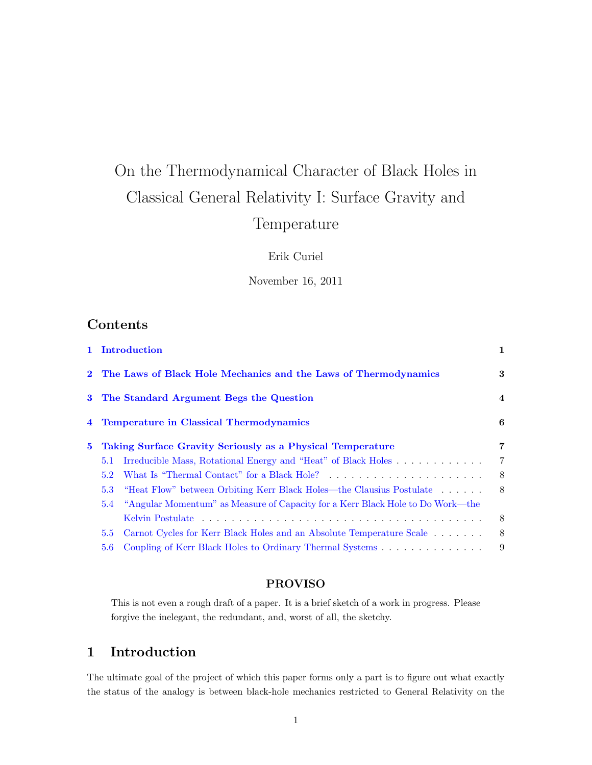# On the Thermodynamical Character of Black Holes in Classical General Relativity I: Surface Gravity and Temperature

Erik Curiel

November 16, 2011

## Contents

| 2 The Laws of Black Hole Mechanics and the Laws of Thermodynamics<br>3 The Standard Argument Begs the Question<br>4 Temperature in Classical Thermodynamics<br><b>Taking Surface Gravity Seriously as a Physical Temperature</b><br>$5^{\circ}$<br>5.1<br>5.2<br>5.3<br>5.4<br>5.5<br>5.6 |  | 1 Introduction                                                                 | 1                       |
|-------------------------------------------------------------------------------------------------------------------------------------------------------------------------------------------------------------------------------------------------------------------------------------------|--|--------------------------------------------------------------------------------|-------------------------|
|                                                                                                                                                                                                                                                                                           |  |                                                                                | 3                       |
|                                                                                                                                                                                                                                                                                           |  |                                                                                | $\overline{\mathbf{4}}$ |
|                                                                                                                                                                                                                                                                                           |  |                                                                                | 6                       |
|                                                                                                                                                                                                                                                                                           |  |                                                                                | 7                       |
|                                                                                                                                                                                                                                                                                           |  |                                                                                | 7                       |
|                                                                                                                                                                                                                                                                                           |  |                                                                                | 8                       |
|                                                                                                                                                                                                                                                                                           |  | "Heat Flow" between Orbiting Kerr Black Holes—the Clausius Postulate           | - 8                     |
|                                                                                                                                                                                                                                                                                           |  | "Angular Momentum" as Measure of Capacity for a Kerr Black Hole to Do Work—the |                         |
|                                                                                                                                                                                                                                                                                           |  |                                                                                | -8                      |
|                                                                                                                                                                                                                                                                                           |  | Carnot Cycles for Kerr Black Holes and an Absolute Temperature Scale           | 8                       |
|                                                                                                                                                                                                                                                                                           |  | Coupling of Kerr Black Holes to Ordinary Thermal Systems                       | 9                       |

#### PROVISO

This is not even a rough draft of a paper. It is a brief sketch of a work in progress. Please forgive the inelegant, the redundant, and, worst of all, the sketchy.

## <span id="page-0-0"></span>1 Introduction

The ultimate goal of the project of which this paper forms only a part is to figure out what exactly the status of the analogy is between black-hole mechanics restricted to General Relativity on the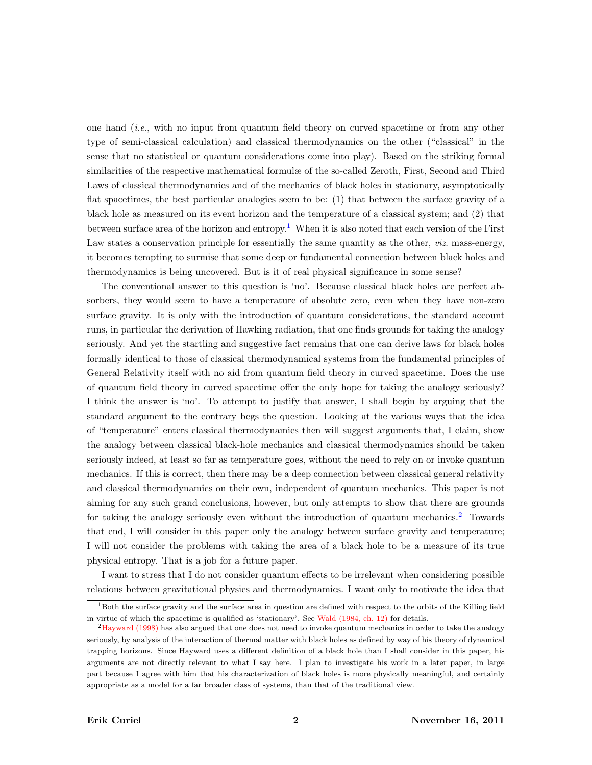one hand (i.e., with no input from quantum field theory on curved spacetime or from any other type of semi-classical calculation) and classical thermodynamics on the other ("classical" in the sense that no statistical or quantum considerations come into play). Based on the striking formal similarities of the respective mathematical formulæ of the so-called Zeroth, First, Second and Third Laws of classical thermodynamics and of the mechanics of black holes in stationary, asymptotically flat spacetimes, the best particular analogies seem to be: (1) that between the surface gravity of a black hole as measured on its event horizon and the temperature of a classical system; and (2) that between surface area of the horizon and entropy.<sup>[1](#page-1-0)</sup> When it is also noted that each version of the First Law states a conservation principle for essentially the same quantity as the other, *viz.* mass-energy, it becomes tempting to surmise that some deep or fundamental connection between black holes and thermodynamics is being uncovered. But is it of real physical significance in some sense?

The conventional answer to this question is 'no'. Because classical black holes are perfect absorbers, they would seem to have a temperature of absolute zero, even when they have non-zero surface gravity. It is only with the introduction of quantum considerations, the standard account runs, in particular the derivation of Hawking radiation, that one finds grounds for taking the analogy seriously. And yet the startling and suggestive fact remains that one can derive laws for black holes formally identical to those of classical thermodynamical systems from the fundamental principles of General Relativity itself with no aid from quantum field theory in curved spacetime. Does the use of quantum field theory in curved spacetime offer the only hope for taking the analogy seriously? I think the answer is 'no'. To attempt to justify that answer, I shall begin by arguing that the standard argument to the contrary begs the question. Looking at the various ways that the idea of "temperature" enters classical thermodynamics then will suggest arguments that, I claim, show the analogy between classical black-hole mechanics and classical thermodynamics should be taken seriously indeed, at least so far as temperature goes, without the need to rely on or invoke quantum mechanics. If this is correct, then there may be a deep connection between classical general relativity and classical thermodynamics on their own, independent of quantum mechanics. This paper is not aiming for any such grand conclusions, however, but only attempts to show that there are grounds for taking the analogy seriously even without the introduction of quantum mechanics.<sup>[2](#page-1-1)</sup> Towards that end, I will consider in this paper only the analogy between surface gravity and temperature; I will not consider the problems with taking the area of a black hole to be a measure of its true physical entropy. That is a job for a future paper.

I want to stress that I do not consider quantum effects to be irrelevant when considering possible relations between gravitational physics and thermodynamics. I want only to motivate the idea that

<span id="page-1-0"></span> $1$ Both the surface gravity and the surface area in question are defined with respect to the orbits of the Killing field in virtue of which the spacetime is qualified as 'stationary'. See [Wald \(1984, ch. 12\)](#page-9-0) for details.

<span id="page-1-1"></span><sup>2</sup>[Hayward \(1998\)](#page-8-1) has also argued that one does not need to invoke quantum mechanics in order to take the analogy seriously, by analysis of the interaction of thermal matter with black holes as defined by way of his theory of dynamical trapping horizons. Since Hayward uses a different definition of a black hole than I shall consider in this paper, his arguments are not directly relevant to what I say here. I plan to investigate his work in a later paper, in large part because I agree with him that his characterization of black holes is more physically meaningful, and certainly appropriate as a model for a far broader class of systems, than that of the traditional view.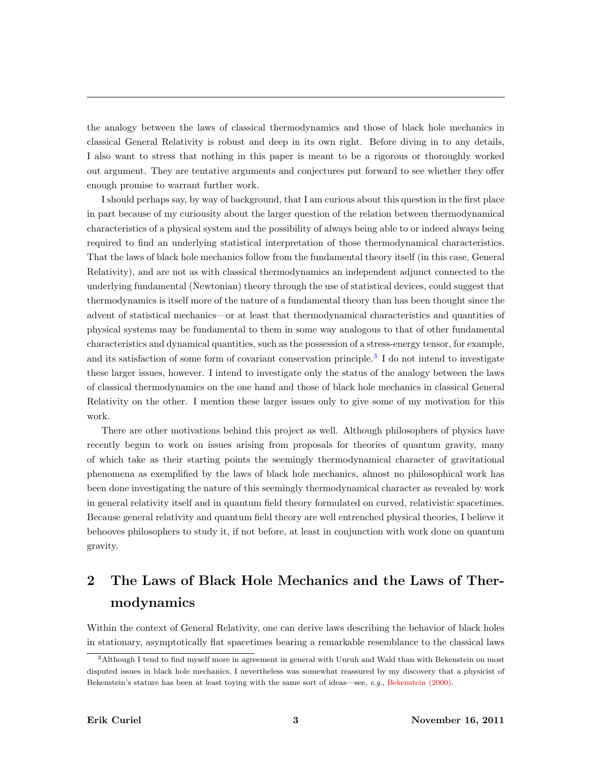the analogy between the laws of classical thermodynamics and those of black hole mechanics in classical General Relativity is robust and deep in its own right. Before diving in to any details, I also want to stress that nothing in this paper is meant to be a rigorous or thoroughly worked out argument. They are tentative arguments and conjectures put forward to see whether they offer enough promise to warrant further work.

I should perhaps say, by way of background, that I am curious about this question in the first place in part because of my curiousity about the larger question of the relation between thermodynamical characteristics of a physical system and the possibility of always being able to or indeed always being required to find an underlying statistical interpretation of those thermodynamical characteristics. That the laws of black hole mechanics follow from the fundamental theory itself (in this case, General Relativity), and are not as with classical thermodynamics an independent adjunct connected to the underlying fundamental (Newtonian) theory through the use of statistical devices, could suggest that thermodynamics is itself more of the nature of a fundamental theory than has been thought since the advent of statistical mechanics—or at least that thermodynamical characteristics and quantities of physical systems may be fundamental to them in some way analogous to that of other fundamental characteristics and dynamical quantities, such as the possession of a stress-energy tensor, for example, and its satisfaction of some form of covariant conservation principle.<sup>[3](#page-2-1)</sup> I do not intend to investigate these larger issues, however. I intend to investigate only the status of the analogy between the laws of classical thermodynamics on the one hand and those of black hole mechanics in classical General Relativity on the other. I mention these larger issues only to give some of my motivation for this work.

There are other motivations behind this project as well. Although philosophers of physics have recently begun to work on issues arising from proposals for theories of quantum gravity, many of which take as their starting points the seemingly thermodynamical character of gravitational phenomena as exemplified by the laws of black hole mechanics, almost no philosophical work has been done investigating the nature of this seemingly thermodynamical character as revealed by work in general relativity itself and in quantum field theory formulated on curved, relativistic spacetimes. Because general relativity and quantum field theory are well entrenched physical theories, I believe it behooves philosophers to study it, if not before, at least in conjunction with work done on quantum gravity.

## <span id="page-2-0"></span>2 The Laws of Black Hole Mechanics and the Laws of Thermodynamics

Within the context of General Relativity, one can derive laws describing the behavior of black holes in stationary, asymptotically flat spacetimes bearing a remarkable resemblance to the classical laws

<span id="page-2-1"></span><sup>3</sup>Although I tend to find myself more in agreement in general with Unruh and Wald than with Bekenstein on most disputed issues in black hole mechanics, I nevertheless was somewhat reassured by my discovery that a physicist of Bekenstein's stature has been at least toying with the same sort of ideas—see, e.g., [Bekenstein \(2000\).](#page-8-2)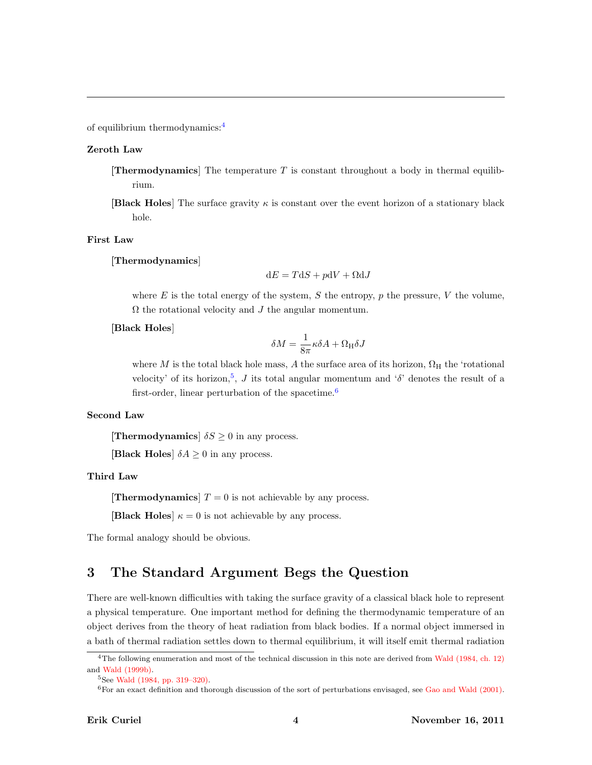of equilibrium thermodynamics:[4](#page-3-1)

#### Zeroth Law

- **Thermodynamics** The temperature T is constant throughout a body in thermal equilibrium.
- **[Black Holes**] The surface gravity  $\kappa$  is constant over the event horizon of a stationary black hole.

#### First Law

[Thermodynamics]

$$
dE = TdS + p dV + \Omega dJ
$$

where E is the total energy of the system, S the entropy, p the pressure, V the volume,  $\Omega$  the rotational velocity and  $J$  the angular momentum.

#### [Black Holes]

$$
\delta M = \frac{1}{8\pi} \kappa \delta A + \Omega_{\rm H} \delta J
$$

where M is the total black hole mass, A the surface area of its horizon,  $\Omega_{\rm H}$  the 'rotational velocity' of its horizon,<sup>[5](#page-3-2)</sup>, J its total angular momentum and ' $\delta$ ' denotes the result of a first-order, linear perturbation of the spacetime.<sup>[6](#page-3-3)</sup>

#### Second Law

**[Thermodynamics**]  $\delta S \geq 0$  in any process.

**[Black Holes]**  $\delta A \geq 0$  in any process.

#### Third Law

[Thermodynamics]  $T = 0$  is not achievable by any process.

**[Black Holes**]  $\kappa = 0$  is not achievable by any process.

The formal analogy should be obvious.

#### <span id="page-3-0"></span>3 The Standard Argument Begs the Question

There are well-known difficulties with taking the surface gravity of a classical black hole to represent a physical temperature. One important method for defining the thermodynamic temperature of an object derives from the theory of heat radiation from black bodies. If a normal object immersed in a bath of thermal radiation settles down to thermal equilibrium, it will itself emit thermal radiation

<span id="page-3-1"></span><sup>&</sup>lt;sup>4</sup>The following enumeration and most of the technical discussion in this note are derived from [Wald \(1984, ch. 12\)](#page-9-0) and [Wald \(1999b\).](#page-9-1)

<span id="page-3-2"></span><sup>5</sup>See [Wald \(1984, pp. 319–320\).](#page-9-0)

<span id="page-3-3"></span> $6$ For an exact definition and thorough discussion of the sort of perturbations envisaged, see [Gao and Wald \(2001\).](#page-8-3)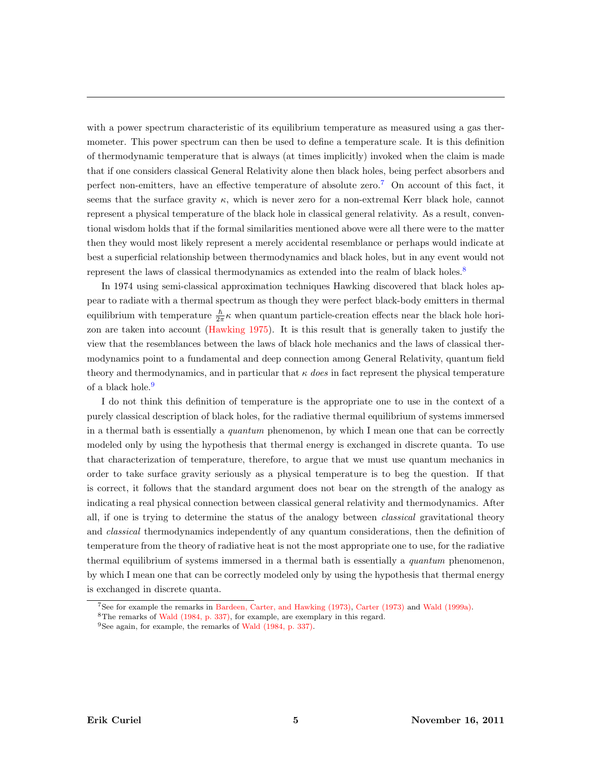with a power spectrum characteristic of its equilibrium temperature as measured using a gas thermometer. This power spectrum can then be used to define a temperature scale. It is this definition of thermodynamic temperature that is always (at times implicitly) invoked when the claim is made that if one considers classical General Relativity alone then black holes, being perfect absorbers and perfect non-emitters, have an effective temperature of absolute zero.[7](#page-4-0) On account of this fact, it seems that the surface gravity  $\kappa$ , which is never zero for a non-extremal Kerr black hole, cannot represent a physical temperature of the black hole in classical general relativity. As a result, conventional wisdom holds that if the formal similarities mentioned above were all there were to the matter then they would most likely represent a merely accidental resemblance or perhaps would indicate at best a superficial relationship between thermodynamics and black holes, but in any event would not represent the laws of classical thermodynamics as extended into the realm of black holes.<sup>[8](#page-4-1)</sup>

In 1974 using semi-classical approximation techniques Hawking discovered that black holes appear to radiate with a thermal spectrum as though they were perfect black-body emitters in thermal equilibrium with temperature  $\frac{\hbar}{2\pi}\kappa$  when quantum particle-creation effects near the black hole horizon are taken into account [\(Hawking 1975\)](#page-8-4). It is this result that is generally taken to justify the view that the resemblances between the laws of black hole mechanics and the laws of classical thermodynamics point to a fundamental and deep connection among General Relativity, quantum field theory and thermodynamics, and in particular that  $\kappa$  does in fact represent the physical temperature of a black hole.<sup>[9](#page-4-2)</sup>

I do not think this definition of temperature is the appropriate one to use in the context of a purely classical description of black holes, for the radiative thermal equilibrium of systems immersed in a thermal bath is essentially a *quantum* phenomenon, by which I mean one that can be correctly modeled only by using the hypothesis that thermal energy is exchanged in discrete quanta. To use that characterization of temperature, therefore, to argue that we must use quantum mechanics in order to take surface gravity seriously as a physical temperature is to beg the question. If that is correct, it follows that the standard argument does not bear on the strength of the analogy as indicating a real physical connection between classical general relativity and thermodynamics. After all, if one is trying to determine the status of the analogy between *classical* gravitational theory and *classical* thermodynamics independently of any quantum considerations, then the definition of temperature from the theory of radiative heat is not the most appropriate one to use, for the radiative thermal equilibrium of systems immersed in a thermal bath is essentially a *quantum* phenomenon, by which I mean one that can be correctly modeled only by using the hypothesis that thermal energy is exchanged in discrete quanta.

<span id="page-4-0"></span><sup>7</sup>See for example the remarks in [Bardeen, Carter, and Hawking \(1973\),](#page-8-5) [Carter \(1973\)](#page-8-6) and [Wald \(1999a\).](#page-9-2)

<span id="page-4-2"></span><span id="page-4-1"></span><sup>8</sup>The remarks of [Wald \(1984, p. 337\),](#page-9-0) for example, are exemplary in this regard.

<sup>9</sup>See again, for example, the remarks of [Wald \(1984, p. 337\).](#page-9-0)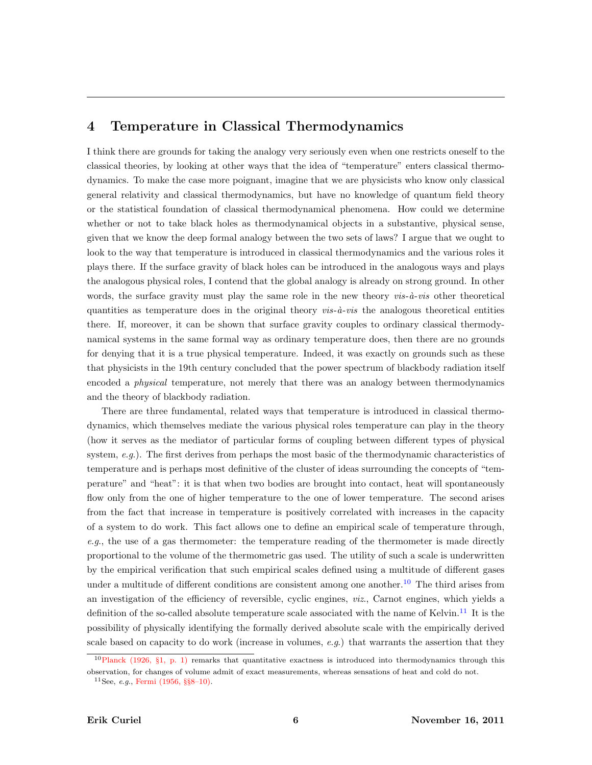## <span id="page-5-0"></span>4 Temperature in Classical Thermodynamics

I think there are grounds for taking the analogy very seriously even when one restricts oneself to the classical theories, by looking at other ways that the idea of "temperature" enters classical thermodynamics. To make the case more poignant, imagine that we are physicists who know only classical general relativity and classical thermodynamics, but have no knowledge of quantum field theory or the statistical foundation of classical thermodynamical phenomena. How could we determine whether or not to take black holes as thermodynamical objects in a substantive, physical sense, given that we know the deep formal analogy between the two sets of laws? I argue that we ought to look to the way that temperature is introduced in classical thermodynamics and the various roles it plays there. If the surface gravity of black holes can be introduced in the analogous ways and plays the analogous physical roles, I contend that the global analogy is already on strong ground. In other words, the surface gravity must play the same role in the new theory  $vis-\hat{a}-vis$  other theoretical quantities as temperature does in the original theory  $vis-\hat{a}-vis$  the analogous theoretical entities there. If, moreover, it can be shown that surface gravity couples to ordinary classical thermodynamical systems in the same formal way as ordinary temperature does, then there are no grounds for denying that it is a true physical temperature. Indeed, it was exactly on grounds such as these that physicists in the 19th century concluded that the power spectrum of blackbody radiation itself encoded a physical temperature, not merely that there was an analogy between thermodynamics and the theory of blackbody radiation.

There are three fundamental, related ways that temperature is introduced in classical thermodynamics, which themselves mediate the various physical roles temperature can play in the theory (how it serves as the mediator of particular forms of coupling between different types of physical system, e.g.). The first derives from perhaps the most basic of the thermodynamic characteristics of temperature and is perhaps most definitive of the cluster of ideas surrounding the concepts of "temperature" and "heat": it is that when two bodies are brought into contact, heat will spontaneously flow only from the one of higher temperature to the one of lower temperature. The second arises from the fact that increase in temperature is positively correlated with increases in the capacity of a system to do work. This fact allows one to define an empirical scale of temperature through, e.g., the use of a gas thermometer: the temperature reading of the thermometer is made directly proportional to the volume of the thermometric gas used. The utility of such a scale is underwritten by the empirical verification that such empirical scales defined using a multitude of different gases under a multitude of different conditions are consistent among one another.<sup>[10](#page-5-1)</sup> The third arises from an investigation of the efficiency of reversible, cyclic engines, viz., Carnot engines, which yields a definition of the so-called absolute temperature scale associated with the name of Kelvin.<sup>[11](#page-5-2)</sup> It is the possibility of physically identifying the formally derived absolute scale with the empirically derived scale based on capacity to do work (increase in volumes,  $e.g.$ ) that warrants the assertion that they

<span id="page-5-1"></span> $10P$ lanck (1926, §1, p. 1) remarks that quantitative exactness is introduced into thermodynamics through this observation, for changes of volume admit of exact measurements, whereas sensations of heat and cold do not.

<span id="page-5-2"></span><sup>&</sup>lt;sup>11</sup>See, *e.g.*, [Fermi \(1956,](#page-8-7) §§8–10).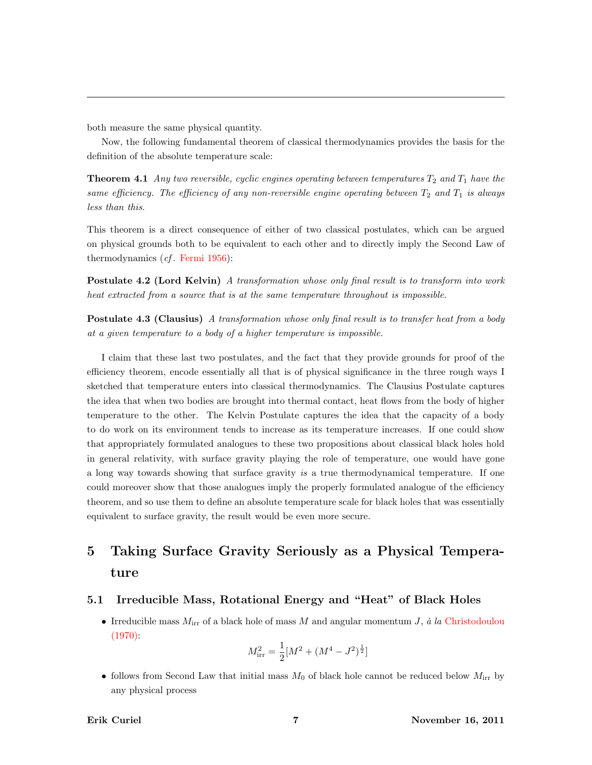both measure the same physical quantity.

Now, the following fundamental theorem of classical thermodynamics provides the basis for the definition of the absolute temperature scale:

**Theorem 4.1** Any two reversible, cyclic engines operating between temperatures  $T_2$  and  $T_1$  have the same efficiency. The efficiency of any non-reversible engine operating between  $T_2$  and  $T_1$  is always less than this.

This theorem is a direct consequence of either of two classical postulates, which can be argued on physical grounds both to be equivalent to each other and to directly imply the Second Law of thermodynamics  $(cf.$  [Fermi 1956\)](#page-8-7):

Postulate 4.2 (Lord Kelvin) A transformation whose only final result is to transform into work heat extracted from a source that is at the same temperature throughout is impossible.

**Postulate 4.3 (Clausius)** A transformation whose only final result is to transfer heat from a body at a given temperature to a body of a higher temperature is impossible.

I claim that these last two postulates, and the fact that they provide grounds for proof of the efficiency theorem, encode essentially all that is of physical significance in the three rough ways I sketched that temperature enters into classical thermodynamics. The Clausius Postulate captures the idea that when two bodies are brought into thermal contact, heat flows from the body of higher temperature to the other. The Kelvin Postulate captures the idea that the capacity of a body to do work on its environment tends to increase as its temperature increases. If one could show that appropriately formulated analogues to these two propositions about classical black holes hold in general relativity, with surface gravity playing the role of temperature, one would have gone a long way towards showing that surface gravity is a true thermodynamical temperature. If one could moreover show that those analogues imply the properly formulated analogue of the efficiency theorem, and so use them to define an absolute temperature scale for black holes that was essentially equivalent to surface gravity, the result would be even more secure.

## <span id="page-6-0"></span>5 Taking Surface Gravity Seriously as a Physical Temperature

#### <span id="page-6-1"></span>5.1 Irreducible Mass, Rotational Energy and "Heat" of Black Holes

• Irreducible mass  $M_{irr}$  of a black hole of mass M and angular momentum J, à la [Christodoulou](#page-8-8)  $(1970)$ :

$$
M_{\rm irr}^2 = \frac{1}{2} [M^2 + (M^4 - J^2)^{\frac{1}{2}}]
$$

• follows from Second Law that initial mass  $M_0$  of black hole cannot be reduced below  $M_{irr}$  by any physical process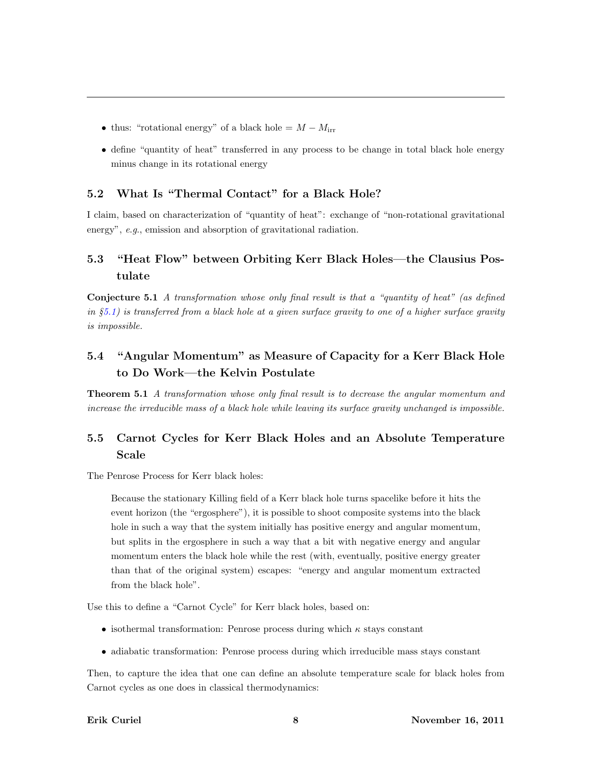- thus: "rotational energy" of a black hole =  $M M<sub>irr</sub>$
- define "quantity of heat" transferred in any process to be change in total black hole energy minus change in its rotational energy

#### <span id="page-7-0"></span>5.2 What Is "Thermal Contact" for a Black Hole?

I claim, based on characterization of "quantity of heat": exchange of "non-rotational gravitational energy", e.g., emission and absorption of gravitational radiation.

### <span id="page-7-1"></span>5.3 "Heat Flow" between Orbiting Kerr Black Holes—the Clausius Postulate

Conjecture 5.1 A transformation whose only final result is that a "quantity of heat" (as defined in  $§5.1)$  $§5.1)$  is transferred from a black hole at a given surface gravity to one of a higher surface gravity is impossible.

## <span id="page-7-2"></span>5.4 "Angular Momentum" as Measure of Capacity for a Kerr Black Hole to Do Work—the Kelvin Postulate

Theorem 5.1 A transformation whose only final result is to decrease the angular momentum and increase the irreducible mass of a black hole while leaving its surface gravity unchanged is impossible.

## <span id="page-7-3"></span>5.5 Carnot Cycles for Kerr Black Holes and an Absolute Temperature Scale

The Penrose Process for Kerr black holes:

Because the stationary Killing field of a Kerr black hole turns spacelike before it hits the event horizon (the "ergosphere"), it is possible to shoot composite systems into the black hole in such a way that the system initially has positive energy and angular momentum, but splits in the ergosphere in such a way that a bit with negative energy and angular momentum enters the black hole while the rest (with, eventually, positive energy greater than that of the original system) escapes: "energy and angular momentum extracted from the black hole".

Use this to define a "Carnot Cycle" for Kerr black holes, based on:

- isothermal transformation: Penrose process during which  $\kappa$  stays constant
- adiabatic transformation: Penrose process during which irreducible mass stays constant

Then, to capture the idea that one can define an absolute temperature scale for black holes from Carnot cycles as one does in classical thermodynamics: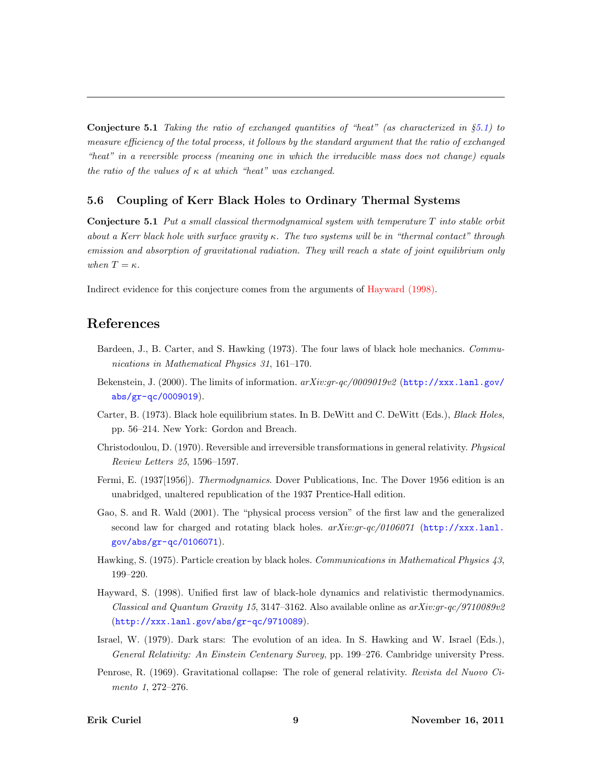**Conjecture 5.1** Taking the ratio of exchanged quantities of "heat" (as characterized in  $\S5.1$ ) to measure efficiency of the total process, it follows by the standard argument that the ratio of exchanged "heat" in a reversible process (meaning one in which the irreducible mass does not change) equals the ratio of the values of  $\kappa$  at which "heat" was exchanged.

#### <span id="page-8-0"></span>5.6 Coupling of Kerr Black Holes to Ordinary Thermal Systems

**Conjecture 5.1** Put a small classical thermodynamical system with temperature  $T$  into stable orbit about a Kerr black hole with surface gravity  $\kappa$ . The two systems will be in "thermal contact" through emission and absorption of gravitational radiation. They will reach a state of joint equilibrium only when  $T = \kappa$ .

Indirect evidence for this conjecture comes from the arguments of [Hayward \(1998\).](#page-8-1)

### References

- <span id="page-8-5"></span>Bardeen, J., B. Carter, and S. Hawking (1973). The four laws of black hole mechanics. Communications in Mathematical Physics 31, 161–170.
- <span id="page-8-2"></span>Bekenstein, J. (2000). The limits of information. arXiv:gr-qc/0009019v2 ([http://xxx.lanl.gov/](http://xxx.lanl.gov/abs/gr-qc/0009019) [abs/gr-qc/0009019](http://xxx.lanl.gov/abs/gr-qc/0009019)).
- <span id="page-8-6"></span>Carter, B. (1973). Black hole equilibrium states. In B. DeWitt and C. DeWitt (Eds.), Black Holes, pp. 56–214. New York: Gordon and Breach.
- <span id="page-8-8"></span>Christodoulou, D. (1970). Reversible and irreversible transformations in general relativity. Physical Review Letters 25, 1596–1597.
- <span id="page-8-7"></span>Fermi, E. (1937[1956]). *Thermodynamics*. Dover Publications, Inc. The Dover 1956 edition is an unabridged, unaltered republication of the 1937 Prentice-Hall edition.
- <span id="page-8-3"></span>Gao, S. and R. Wald (2001). The "physical process version" of the first law and the generalized second law for charged and rotating black holes.  $arXiv:qr-qc/0106071$  ([http://xxx.lanl.](http://xxx.lanl.gov/abs/gr-qc/0106071) [gov/abs/gr-qc/0106071](http://xxx.lanl.gov/abs/gr-qc/0106071)).
- <span id="page-8-4"></span>Hawking, S. (1975). Particle creation by black holes. Communications in Mathematical Physics 43, 199–220.
- <span id="page-8-1"></span>Hayward, S. (1998). Unified first law of black-hole dynamics and relativistic thermodynamics. Classical and Quantum Gravity 15, 3147–3162. Also available online as  $arXiv:qr-qc/9710089v2$ (<http://xxx.lanl.gov/abs/gr-qc/9710089>).
- Israel, W. (1979). Dark stars: The evolution of an idea. In S. Hawking and W. Israel (Eds.), General Relativity: An Einstein Centenary Survey, pp. 199–276. Cambridge university Press.
- Penrose, R. (1969). Gravitational collapse: The role of general relativity. Revista del Nuovo Cimento 1, 272–276.